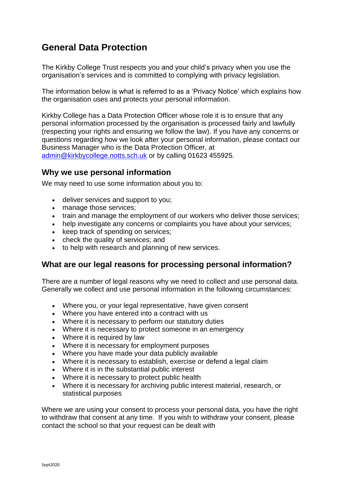# **General Data Protection**

The Kirkby College Trust respects you and your child's privacy when you use the organisation's services and is committed to complying with privacy legislation.

The information below is what is referred to as a 'Privacy Notice' which explains how the organisation uses and protects your personal information.

Kirkby College has a Data Protection Officer whose role it is to ensure that any personal information processed by the organisation is processed fairly and lawfully (respecting your rights and ensuring we follow the law). If you have any concerns or questions regarding how we look after your personal information, please contact our Business Manager who is the Data Protection Officer, at [admin@kirkbycollege.notts.sch.uk](mailto:admin@kirkbycollege.notts.sch.uk) or by calling 01623 455925.

#### **Why we use personal information**

We may need to use some information about you to:

- deliver services and support to you;
- manage those services:
- train and manage the employment of our workers who deliver those services;
- help investigate any concerns or complaints you have about your services;
- keep track of spending on services;
- check the quality of services; and
- to help with research and planning of new services.

## **What are our legal reasons for processing personal information?**

There are a number of legal reasons why we need to collect and use personal data. Generally we collect and use personal information in the following circumstances:

- Where you, or your legal representative, have given consent
- Where you have entered into a contract with us
- Where it is necessary to perform our statutory duties
- Where it is necessary to protect someone in an emergency
- Where it is required by law
- Where it is necessary for employment purposes
- Where you have made your data publicly available
- Where it is necessary to establish, exercise or defend a legal claim
- Where it is in the substantial public interest
- Where it is necessary to protect public health
- Where it is necessary for archiving public interest material, research, or statistical purposes

Where we are using your consent to process your personal data, you have the right to withdraw that consent at any time. If you wish to withdraw your consent, please contact the school so that your request can be dealt with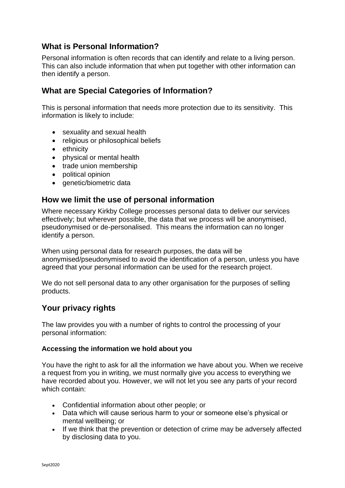## **What is Personal Information?**

Personal information is often records that can identify and relate to a living person. This can also include information that when put together with other information can then identify a person.

## **What are Special Categories of Information?**

This is personal information that needs more protection due to its sensitivity. This information is likely to include:

- sexuality and sexual health
- religious or philosophical beliefs
- ethnicity
- physical or mental health
- trade union membership
- political opinion
- genetic/biometric data

## **How we limit the use of personal information**

Where necessary Kirkby College processes personal data to deliver our services effectively; but wherever possible, the data that we process will be anonymised, pseudonymised or de-personalised. This means the information can no longer identify a person.

When using personal data for research purposes, the data will be anonymised/pseudonymised to avoid the identification of a person, unless you have agreed that your personal information can be used for the research project.

We do not sell personal data to any other organisation for the purposes of selling products.

## **Your privacy rights**

The law provides you with a number of rights to control the processing of your personal information:

#### **Accessing the information we hold about you**

You have the right to ask for all the information we have about you. When we receive a request from you in writing, we must normally give you access to everything we have recorded about you. However, we will not let you see any parts of your record which contain:

- Confidential information about other people; or
- Data which will cause serious harm to your or someone else's physical or mental wellbeing; or
- If we think that the prevention or detection of crime may be adversely affected by disclosing data to you.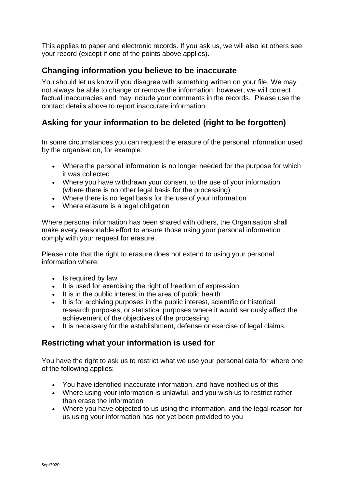This applies to paper and electronic records. If you ask us, we will also let others see your record (except if one of the points above applies).

## **Changing information you believe to be inaccurate**

You should let us know if you disagree with something written on your file. We may not always be able to change or remove the information; however, we will correct factual inaccuracies and may include your comments in the records. [Please use the](https://forms.essex.gov.uk/default.aspx/RenderForm/?F.Name=r4Qcams7sBg&HideAll=1)  [contact details above to report inaccurate information.](https://forms.essex.gov.uk/default.aspx/RenderForm/?F.Name=r4Qcams7sBg&HideAll=1)

## **Asking for your information to be deleted (right to be forgotten)**

In some circumstances you can request the erasure of the personal information used by the organisation, for example:

- Where the personal information is no longer needed for the purpose for which it was collected
- Where you have withdrawn your consent to the use of your information (where there is no other legal basis for the processing)
- Where there is no legal basis for the use of your information
- Where erasure is a legal obligation

Where personal information has been shared with others, the Organisation shall make every reasonable effort to ensure those using your personal information comply with your request for erasure.

Please note that the right to erasure does not extend to using your personal information where:

- Is required by law
- It is used for exercising the right of freedom of expression
- It is in the public interest in the area of public health
- It is for archiving purposes in the public interest, scientific or historical research purposes, or statistical purposes where it would seriously affect the achievement of the objectives of the processing
- It is necessary for the establishment, defense or exercise of legal claims.

## **Restricting what your information is used for**

You have the right to ask us to restrict what we use your personal data for where one of the following applies:

- You have identified inaccurate information, and have notified us of this
- Where using your information is unlawful, and you wish us to restrict rather than erase the information
- Where you have objected to us using the information, and the legal reason for us using your information has not yet been provided to you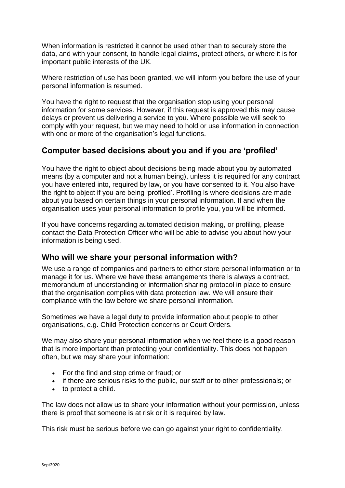When information is restricted it cannot be used other than to securely store the data, and with your consent, to handle legal claims, protect others, or where it is for important public interests of the UK.

Where restriction of use has been granted, we will inform you before the use of your personal information is resumed.

You have the right to request that the organisation stop using your personal information for some services. However, if this request is approved this may cause delays or prevent us delivering a service to you. Where possible we will seek to comply with your request, but we may need to hold or use information in connection with one or more of the organisation's legal functions.

## **Computer based decisions about you and if you are 'profiled'**

You have the right to object about decisions being made about you by automated means (by a computer and not a human being), unless it is required for any contract you have entered into, required by law, or you have consented to it. You also have the right to object if you are being 'profiled'. Profiling is where decisions are made about you based on certain things in your personal information. If and when the organisation uses your personal information to profile you, you will be informed.

If you have concerns regarding automated decision making, or profiling, please contact the Data Protection Officer who will be able to advise you about how your information is being used.

## **Who will we share your personal information with?**

We use a range of companies and partners to either store personal information or to manage it for us. Where we have these arrangements there is always a contract, memorandum of understanding or information sharing protocol in place to ensure that the organisation complies with data protection law. We will ensure their compliance with the law before we share personal information.

Sometimes we have a legal duty to provide information about people to other organisations, e.g. Child Protection concerns or Court Orders.

We may also share your personal information when we feel there is a good reason that is more important than protecting your confidentiality. This does not happen often, but we may share your information:

- For the find and stop crime or fraud; or
- if there are serious risks to the public, our staff or to other professionals; or
- to protect a child.

The law does not allow us to share your information without your permission, unless there is proof that someone is at risk or it is required by law.

This risk must be serious before we can go against your right to confidentiality.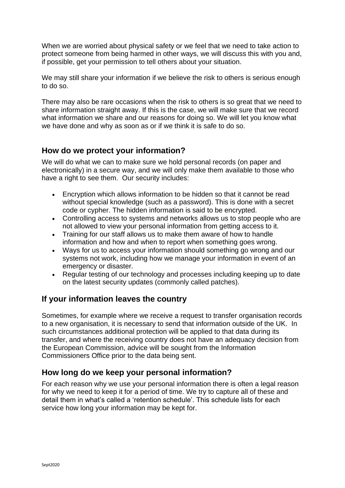When we are worried about physical safety or we feel that we need to take action to protect someone from being harmed in other ways, we will discuss this with you and, if possible, get your permission to tell others about your situation.

We may still share your information if we believe the risk to others is serious enough to do so.

There may also be rare occasions when the risk to others is so great that we need to share information straight away. If this is the case, we will make sure that we record what information we share and our reasons for doing so. We will let you know what we have done and why as soon as or if we think it is safe to do so.

#### **How do we protect your information?**

We will do what we can to make sure we hold personal records (on paper and electronically) in a secure way, and we will only make them available to those who have a right to see them. Our security includes:

- Encryption which allows information to be hidden so that it cannot be read without special knowledge (such as a password). This is done with a secret code or cypher. The hidden information is said to be encrypted.
- Controlling access to systems and networks allows us to stop people who are not allowed to view your personal information from getting access to it.
- Training for our staff allows us to make them aware of how to handle information and how and when to report when something goes wrong.
- Ways for us to access your information should something go wrong and our systems not work, including how we manage your information in event of an emergency or disaster.
- Regular testing of our technology and processes including keeping up to date on the latest security updates (commonly called patches).

## **If your information leaves the country**

Sometimes, for example where we receive a request to transfer organisation records to a new organisation, it is necessary to send that information outside of the UK. In such circumstances additional protection will be applied to that data during its transfer, and where the receiving country does not have an adequacy decision from the European Commission, advice will be sought from the Information Commissioners Office prior to the data being sent.

## **How long do we keep your personal information?**

For each reason why we use your personal information there is often a legal reason for why we need to keep it for a period of time. We try to capture all of these and detail them in what's called a 'retention schedule'. This schedule lists for each service how long your information may be kept for.